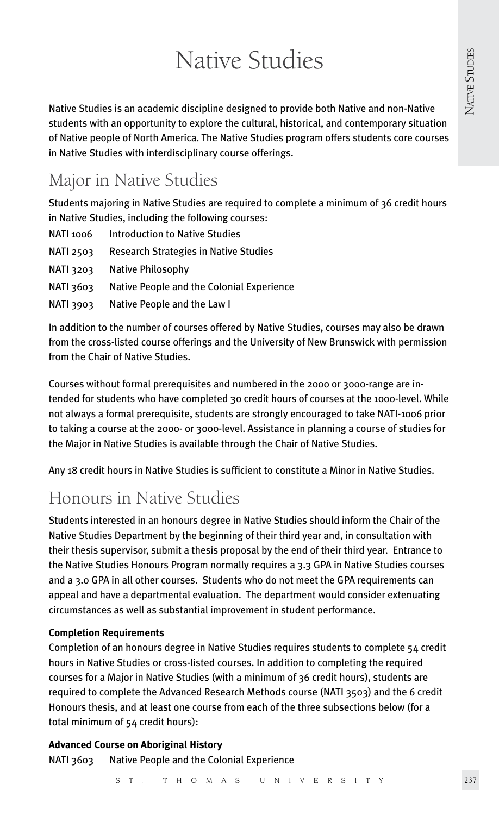# Native Studies

Native Studies is an academic discipline designed to provide both Native and non-Native students with an opportunity to explore the cultural, historical, and contemporary situation of Native people of North America. The Native Studies program offers students core courses in Native Studies with interdisciplinary course offerings.

# Major in Native Studies

Students majoring in Native Studies are required to complete a minimum of 36 credit hours in Native Studies, including the following courses:

| NATI 1006        | <b>Introduction to Native Studies</b>        |
|------------------|----------------------------------------------|
| <b>NATI 2503</b> | <b>Research Strategies in Native Studies</b> |
| <b>NATI 3203</b> | Native Philosophy                            |
| RATI 3603        | Native People and the Colonial Experience    |
| <b>NATI 3903</b> | Native People and the Law I                  |

In addition to the number of courses offered by Native Studies, courses may also be drawn from the cross-listed course offerings and the University of New Brunswick with permission from the Chair of Native Studies.

Courses without formal prerequisites and numbered in the 2000 or 3000-range are intended for students who have completed 30 credit hours of courses at the 1000-level. While not always a formal prerequisite, students are strongly encouraged to take NATI-1006 prior to taking a course at the 2000- or 3000-level. Assistance in planning a course of studies for the Major in Native Studies is available through the Chair of Native Studies.

Any 18 credit hours in Native Studies is sufficient to constitute a Minor in Native Studies.

# Honours in Native Studies

Students interested in an honours degree in Native Studies should inform the Chair of the Native Studies Department by the beginning of their third year and, in consultation with their thesis supervisor, submit a thesis proposal by the end of their third year. Entrance to the Native Studies Honours Program normally requires a 3.3 GPA in Native Studies courses and a 3.0 GPA in all other courses. Students who do not meet the GPA requirements can appeal and have a departmental evaluation. The department would consider extenuating circumstances as well as substantial improvement in student performance.

# **Completion Requirements**

Completion of an honours degree in Native Studies requires students to complete 54 credit hours in Native Studies or cross-listed courses. In addition to completing the required courses for a Major in Native Studies (with a minimum of 36 credit hours), students are required to complete the Advanced Research Methods course (NATI 3503) and the 6 credit Honours thesis, and at least one course from each of the three subsections below (for a total minimum of 54 credit hours):

# **Advanced Course on Aboriginal History** NATI 3603 Native People and the Colonial Experience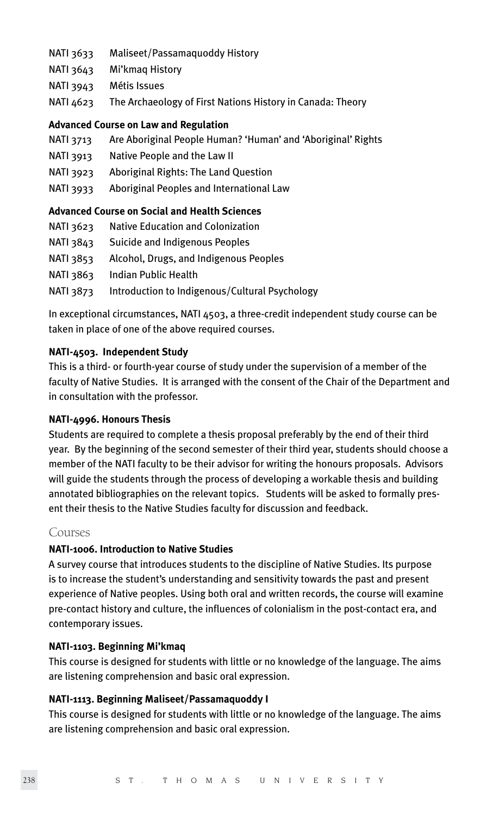- NATI 3633 Maliseet/Passamaquoddy History
- NATI 3643 Mi'kmaq History
- NATI 3943 Métis Issues
- NATI 4623 The Archaeology of First Nations History in Canada: Theory

#### **Advanced Course on Law and Regulation**

- NATI 3713 Are Aboriginal People Human? 'Human' and 'Aboriginal' Rights
- NATI 3913 Native People and the Law II
- NATI 3923 Aboriginal Rights: The Land Question
- NATI 3933 Aboriginal Peoples and International Law

# **Advanced Course on Social and Health Sciences**

| NATI 3623 | Native Education and Colonization |
|-----------|-----------------------------------|
|-----------|-----------------------------------|

- NATI 3843 Suicide and Indigenous Peoples
- NATI 3853 Alcohol, Drugs, and Indigenous Peoples
- NATI 3863 Indian Public Health
- NATI 3873 Introduction to Indigenous/Cultural Psychology

In exceptional circumstances, NATI 4503, a three-credit independent study course can be taken in place of one of the above required courses.

#### **NATI-4503. Independent Study**

This is a third- or fourth-year course of study under the supervision of a member of the faculty of Native Studies. It is arranged with the consent of the Chair of the Department and in consultation with the professor.

# **NATI-4996. Honours Thesis**

Students are required to complete a thesis proposal preferably by the end of their third year. By the beginning of the second semester of their third year, students should choose a member of the NATI faculty to be their advisor for writing the honours proposals. Advisors will guide the students through the process of developing a workable thesis and building annotated bibliographies on the relevant topics. Students will be asked to formally present their thesis to the Native Studies faculty for discussion and feedback.

#### Courses

# **NATI-1006. Introduction to Native Studies**

A survey course that introduces students to the discipline of Native Studies. Its purpose is to increase the student's understanding and sensitivity towards the past and present experience of Native peoples. Using both oral and written records, the course will examine pre-contact history and culture, the influences of colonialism in the post-contact era, and contemporary issues.

#### **NATI-1103. Beginning Mi'kmaq**

This course is designed for students with little or no knowledge of the language. The aims are listening comprehension and basic oral expression.

# **NATI-1113. Beginning Maliseet/Passamaquoddy I**

This course is designed for students with little or no knowledge of the language. The aims are listening comprehension and basic oral expression.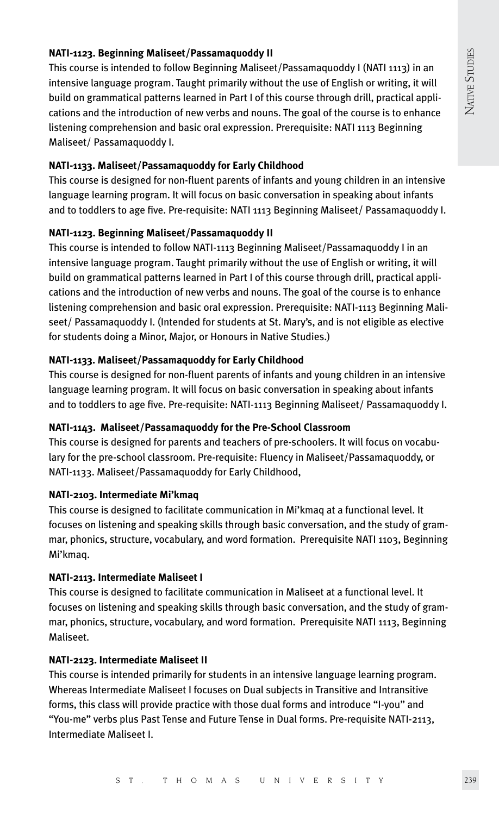# **NATI-1123. Beginning Maliseet/Passamaquoddy II**

This course is intended to follow Beginning Maliseet/Passamaquoddy I (NATI 1113) in an intensive language program. Taught primarily without the use of English or writing, it will build on grammatical patterns learned in Part I of this course through drill, practical applications and the introduction of new verbs and nouns. The goal of the course is to enhance listening comprehension and basic oral expression. Prerequisite: NATI 1113 Beginning Maliseet/ Passamaquoddy I.

# **NATI-1133. Maliseet/Passamaquoddy for Early Childhood**

This course is designed for non-fluent parents of infants and young children in an intensive language learning program. It will focus on basic conversation in speaking about infants and to toddlers to age five. Pre-requisite: NATI 1113 Beginning Maliseet/ Passamaquoddy I.

# **NATI-1123. Beginning Maliseet/Passamaquoddy II**

This course is intended to follow NATI-1113 Beginning Maliseet/Passamaquoddy I in an intensive language program. Taught primarily without the use of English or writing, it will build on grammatical patterns learned in Part I of this course through drill, practical applications and the introduction of new verbs and nouns. The goal of the course is to enhance listening comprehension and basic oral expression. Prerequisite: NATI-1113 Beginning Maliseet/ Passamaquoddy I. (Intended for students at St. Mary's, and is not eligible as elective for students doing a Minor, Major, or Honours in Native Studies.)

# **NATI-1133. Maliseet/Passamaquoddy for Early Childhood**

This course is designed for non-fluent parents of infants and young children in an intensive language learning program. It will focus on basic conversation in speaking about infants and to toddlers to age five. Pre-requisite: NATI-1113 Beginning Maliseet/ Passamaquoddy I.

# **NATI-1143. Maliseet/Passamaquoddy for the Pre-School Classroom**

This course is designed for parents and teachers of pre-schoolers. It will focus on vocabulary for the pre-school classroom. Pre-requisite: Fluency in Maliseet/Passamaquoddy, or NATI-1133. Maliseet/Passamaquoddy for Early Childhood,

# **NATI-2103. Intermediate Mi'kmaq**

This course is designed to facilitate communication in Mi'kmaq at a functional level. It focuses on listening and speaking skills through basic conversation, and the study of grammar, phonics, structure, vocabulary, and word formation. Prerequisite NATI 1103, Beginning Mi'kmaq.

# **NATI-2113. Intermediate Maliseet I**

This course is designed to facilitate communication in Maliseet at a functional level. It focuses on listening and speaking skills through basic conversation, and the study of grammar, phonics, structure, vocabulary, and word formation. Prerequisite NATI 1113, Beginning Maliseet.

# **NATI-2123. Intermediate Maliseet II**

This course is intended primarily for students in an intensive language learning program. Whereas Intermediate Maliseet I focuses on Dual subjects in Transitive and Intransitive forms, this class will provide practice with those dual forms and introduce "I-you" and "You-me" verbs plus Past Tense and Future Tense in Dual forms. Pre-requisite NATI-2113, Intermediate Maliseet I.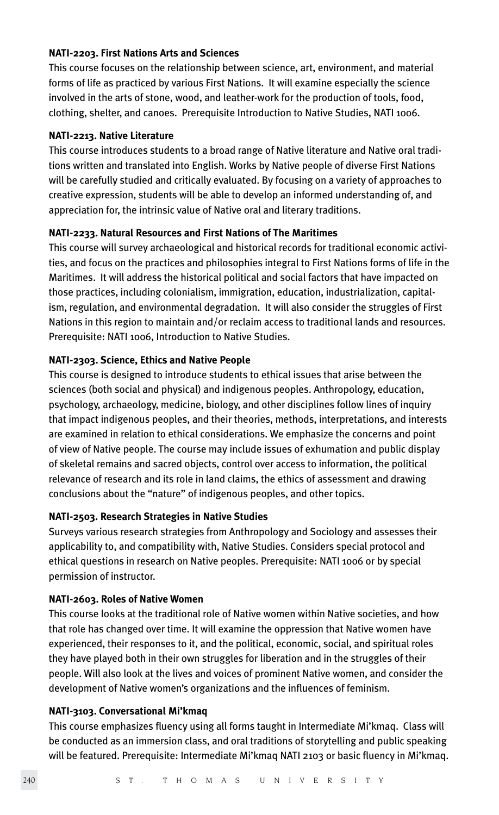#### **NATI-2203. First Nations Arts and Sciences**

This course focuses on the relationship between science, art, environment, and material forms of life as practiced by various First Nations. It will examine especially the science involved in the arts of stone, wood, and leather-work for the production of tools, food, clothing, shelter, and canoes. Prerequisite Introduction to Native Studies, NATI 1006.

#### **NATI-2213. Native Literature**

This course introduces students to a broad range of Native literature and Native oral traditions written and translated into English. Works by Native people of diverse First Nations will be carefully studied and critically evaluated. By focusing on a variety of approaches to creative expression, students will be able to develop an informed understanding of, and appreciation for, the intrinsic value of Native oral and literary traditions.

# **NATI-2233. Natural Resources and First Nations of The Maritimes**

This course will survey archaeological and historical records for traditional economic activities, and focus on the practices and philosophies integral to First Nations forms of life in the Maritimes. It will address the historical political and social factors that have impacted on those practices, including colonialism, immigration, education, industrialization, capitalism, regulation, and environmental degradation. It will also consider the struggles of First Nations in this region to maintain and/or reclaim access to traditional lands and resources. Prerequisite: NATI 1006, Introduction to Native Studies.

#### **NATI-2303. Science, Ethics and Native People**

This course is designed to introduce students to ethical issues that arise between the sciences (both social and physical) and indigenous peoples. Anthropology, education, psychology, archaeology, medicine, biology, and other disciplines follow lines of inquiry that impact indigenous peoples, and their theories, methods, interpretations, and interests are examined in relation to ethical considerations. We emphasize the concerns and point of view of Native people. The course may include issues of exhumation and public display of skeletal remains and sacred objects, control over access to information, the political relevance of research and its role in land claims, the ethics of assessment and drawing conclusions about the "nature" of indigenous peoples, and other topics.

# **NATI-2503. Research Strategies in Native Studies**

Surveys various research strategies from Anthropology and Sociology and assesses their applicability to, and compatibility with, Native Studies. Considers special protocol and ethical questions in research on Native peoples. Prerequisite: NATI 1006 or by special permission of instructor.

#### **NATI-2603. Roles of Native Women**

This course looks at the traditional role of Native women within Native societies, and how that role has changed over time. It will examine the oppression that Native women have experienced, their responses to it, and the political, economic, social, and spiritual roles they have played both in their own struggles for liberation and in the struggles of their people. Will also look at the lives and voices of prominent Native women, and consider the development of Native women's organizations and the influences of feminism.

#### **NATI-3103. Conversational Mi'kmaq**

This course emphasizes fluency using all forms taught in Intermediate Mi'kmaq. Class will be conducted as an immersion class, and oral traditions of storytelling and public speaking will be featured. Prerequisite: Intermediate Mi'kmaq NATI 2103 or basic fluency in Mi'kmaq.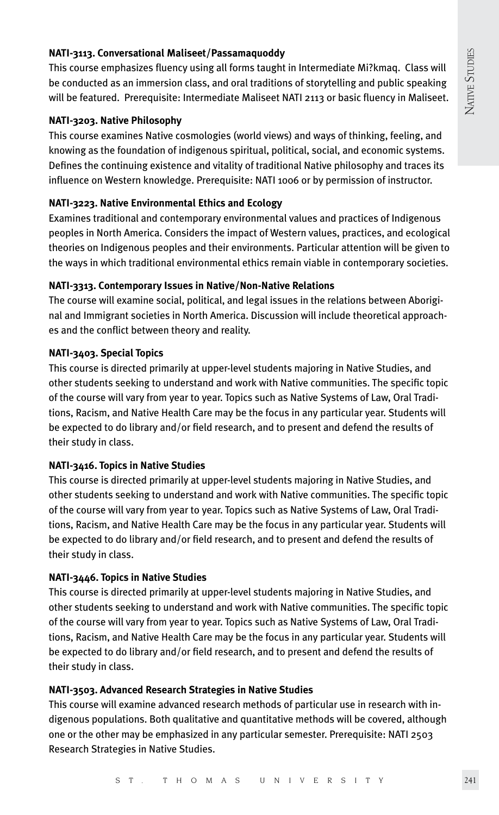# **NATI-3113. Conversational Maliseet/Passamaquoddy**

This course emphasizes fluency using all forms taught in Intermediate Mi?kmaq. Class will be conducted as an immersion class, and oral traditions of storytelling and public speaking will be featured. Prerequisite: Intermediate Maliseet NATI 2113 or basic fluency in Maliseet.

#### **NATI-3203. Native Philosophy**

This course examines Native cosmologies (world views) and ways of thinking, feeling, and knowing as the foundation of indigenous spiritual, political, social, and economic systems. Defines the continuing existence and vitality of traditional Native philosophy and traces its influence on Western knowledge. Prerequisite: NATI 1006 or by permission of instructor.

# **NATI-3223. Native Environmental Ethics and Ecology**

Examines traditional and contemporary environmental values and practices of Indigenous peoples in North America. Considers the impact of Western values, practices, and ecological theories on Indigenous peoples and their environments. Particular attention will be given to the ways in which traditional environmental ethics remain viable in contemporary societies.

# **NATI-3313. Contemporary Issues in Native/Non-Native Relations**

The course will examine social, political, and legal issues in the relations between Aboriginal and Immigrant societies in North America. Discussion will include theoretical approaches and the conflict between theory and reality.

# **NATI-3403. Special Topics**

This course is directed primarily at upper-level students majoring in Native Studies, and other students seeking to understand and work with Native communities. The specific topic of the course will vary from year to year. Topics such as Native Systems of Law, Oral Traditions, Racism, and Native Health Care may be the focus in any particular year. Students will be expected to do library and/or field research, and to present and defend the results of their study in class.

# **NATI-3416. Topics in Native Studies**

This course is directed primarily at upper-level students majoring in Native Studies, and other students seeking to understand and work with Native communities. The specific topic of the course will vary from year to year. Topics such as Native Systems of Law, Oral Traditions, Racism, and Native Health Care may be the focus in any particular year. Students will be expected to do library and/or field research, and to present and defend the results of their study in class.

# **NATI-3446. Topics in Native Studies**

This course is directed primarily at upper-level students majoring in Native Studies, and other students seeking to understand and work with Native communities. The specific topic of the course will vary from year to year. Topics such as Native Systems of Law, Oral Traditions, Racism, and Native Health Care may be the focus in any particular year. Students will be expected to do library and/or field research, and to present and defend the results of their study in class.

# **NATI-3503. Advanced Research Strategies in Native Studies**

This course will examine advanced research methods of particular use in research with indigenous populations. Both qualitative and quantitative methods will be covered, although one or the other may be emphasized in any particular semester. Prerequisite: NATI 2503 Research Strategies in Native Studies.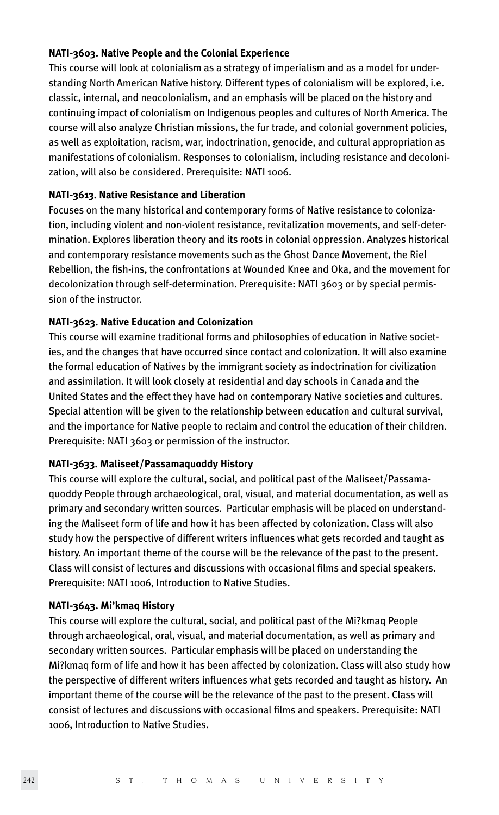#### **NATI-3603. Native People and the Colonial Experience**

This course will look at colonialism as a strategy of imperialism and as a model for understanding North American Native history. Different types of colonialism will be explored, i.e. classic, internal, and neocolonialism, and an emphasis will be placed on the history and continuing impact of colonialism on Indigenous peoples and cultures of North America. The course will also analyze Christian missions, the fur trade, and colonial government policies, as well as exploitation, racism, war, indoctrination, genocide, and cultural appropriation as manifestations of colonialism. Responses to colonialism, including resistance and decolonization, will also be considered. Prerequisite: NATI 1006.

#### **NATI-3613. Native Resistance and Liberation**

Focuses on the many historical and contemporary forms of Native resistance to colonization, including violent and non-violent resistance, revitalization movements, and self-determination. Explores liberation theory and its roots in colonial oppression. Analyzes historical and contemporary resistance movements such as the Ghost Dance Movement, the Riel Rebellion, the fish-ins, the confrontations at Wounded Knee and Oka, and the movement for decolonization through self-determination. Prerequisite: NATI 3603 or by special permission of the instructor.

# **NATI-3623. Native Education and Colonization**

This course will examine traditional forms and philosophies of education in Native societies, and the changes that have occurred since contact and colonization. It will also examine the formal education of Natives by the immigrant society as indoctrination for civilization and assimilation. It will look closely at residential and day schools in Canada and the United States and the effect they have had on contemporary Native societies and cultures. Special attention will be given to the relationship between education and cultural survival, and the importance for Native people to reclaim and control the education of their children. Prerequisite: NATI 3603 or permission of the instructor.

#### **NATI-3633. Maliseet/Passamaquoddy History**

This course will explore the cultural, social, and political past of the Maliseet/Passamaquoddy People through archaeological, oral, visual, and material documentation, as well as primary and secondary written sources. Particular emphasis will be placed on understanding the Maliseet form of life and how it has been affected by colonization. Class will also study how the perspective of different writers influences what gets recorded and taught as history. An important theme of the course will be the relevance of the past to the present. Class will consist of lectures and discussions with occasional films and special speakers. Prerequisite: NATI 1006, Introduction to Native Studies.

#### **NATI-3643. Mi'kmaq History**

This course will explore the cultural, social, and political past of the Mi?kmaq People through archaeological, oral, visual, and material documentation, as well as primary and secondary written sources. Particular emphasis will be placed on understanding the Mi?kmaq form of life and how it has been affected by colonization. Class will also study how the perspective of different writers influences what gets recorded and taught as history. An important theme of the course will be the relevance of the past to the present. Class will consist of lectures and discussions with occasional films and speakers. Prerequisite: NATI 1006, Introduction to Native Studies.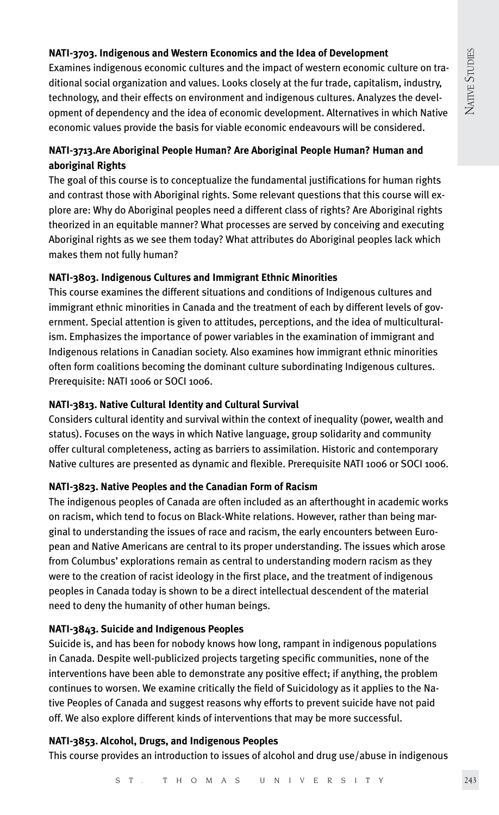# **NATI-3703. Indigenous and Western Economics and the Idea of Development**

Examines indigenous economic cultures and the impact of western economic culture on traditional social organization and values. Looks closely at the fur trade, capitalism, industry, technology, and their effects on environment and indigenous cultures. Analyzes the development of dependency and the idea of economic development. Alternatives in which Native economic values provide the basis for viable economic endeavours will be considered.

# **NATI-3713.Are Aboriginal People Human? Are Aboriginal People Human? Human and aboriginal Rights**

The goal of this course is to conceptualize the fundamental justifications for human rights and contrast those with Aboriginal rights. Some relevant questions that this course will explore are: Why do Aboriginal peoples need a different class of rights? Are Aboriginal rights theorized in an equitable manner? What processes are served by conceiving and executing Aboriginal rights as we see them today? What attributes do Aboriginal peoples lack which makes them not fully human?

# **NATI-3803. Indigenous Cultures and Immigrant Ethnic Minorities**

This course examines the different situations and conditions of Indigenous cultures and immigrant ethnic minorities in Canada and the treatment of each by different levels of government. Special attention is given to attitudes, perceptions, and the idea of multiculturalism. Emphasizes the importance of power variables in the examination of immigrant and Indigenous relations in Canadian society. Also examines how immigrant ethnic minorities often form coalitions becoming the dominant culture subordinating Indigenous cultures. Prerequisite: NATI 1006 or SOCI 1006.

# **NATI-3813. Native Cultural Identity and Cultural Survival**

Considers cultural identity and survival within the context of inequality (power, wealth and status). Focuses on the ways in which Native language, group solidarity and community offer cultural completeness, acting as barriers to assimilation. Historic and contemporary Native cultures are presented as dynamic and flexible. Prerequisite NATI 1006 or SOCI 1006.

# **NATI-3823. Native Peoples and the Canadian Form of Racism**

The indigenous peoples of Canada are often included as an afterthought in academic works on racism, which tend to focus on Black-White relations. However, rather than being marginal to understanding the issues of race and racism, the early encounters between European and Native Americans are central to its proper understanding. The issues which arose from Columbus' explorations remain as central to understanding modern racism as they were to the creation of racist ideology in the first place, and the treatment of indigenous peoples in Canada today is shown to be a direct intellectual descendent of the material need to deny the humanity of other human beings.

# **NATI-3843. Suicide and Indigenous Peoples**

Suicide is, and has been for nobody knows how long, rampant in indigenous populations in Canada. Despite well-publicized projects targeting specific communities, none of the interventions have been able to demonstrate any positive effect; if anything, the problem continues to worsen. We examine critically the field of Suicidology as it applies to the Native Peoples of Canada and suggest reasons why efforts to prevent suicide have not paid off. We also explore different kinds of interventions that may be more successful.

# **NATI-3853. Alcohol, Drugs, and Indigenous Peoples**

This course provides an introduction to issues of alcohol and drug use/abuse in indigenous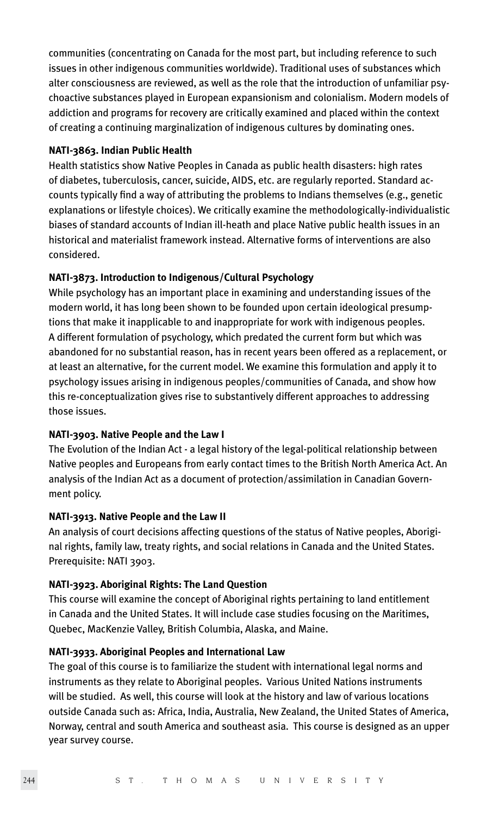communities (concentrating on Canada for the most part, but including reference to such issues in other indigenous communities worldwide). Traditional uses of substances which alter consciousness are reviewed, as well as the role that the introduction of unfamiliar psychoactive substances played in European expansionism and colonialism. Modern models of addiction and programs for recovery are critically examined and placed within the context of creating a continuing marginalization of indigenous cultures by dominating ones.

# **NATI-3863. Indian Public Health**

Health statistics show Native Peoples in Canada as public health disasters: high rates of diabetes, tuberculosis, cancer, suicide, AIDS, etc. are regularly reported. Standard accounts typically find a way of attributing the problems to Indians themselves (e.g., genetic explanations or lifestyle choices). We critically examine the methodologically-individualistic biases of standard accounts of Indian ill-heath and place Native public health issues in an historical and materialist framework instead. Alternative forms of interventions are also considered.

# **NATI-3873. Introduction to Indigenous/Cultural Psychology**

While psychology has an important place in examining and understanding issues of the modern world, it has long been shown to be founded upon certain ideological presumptions that make it inapplicable to and inappropriate for work with indigenous peoples. A different formulation of psychology, which predated the current form but which was abandoned for no substantial reason, has in recent years been offered as a replacement, or at least an alternative, for the current model. We examine this formulation and apply it to psychology issues arising in indigenous peoples/communities of Canada, and show how this re-conceptualization gives rise to substantively different approaches to addressing those issues.

# **NATI-3903. Native People and the Law I**

The Evolution of the Indian Act - a legal history of the legal-political relationship between Native peoples and Europeans from early contact times to the British North America Act. An analysis of the Indian Act as a document of protection/assimilation in Canadian Government policy.

# **NATI-3913. Native People and the Law II**

An analysis of court decisions affecting questions of the status of Native peoples, Aboriginal rights, family law, treaty rights, and social relations in Canada and the United States. Prerequisite: NATI 3903.

# **NATI-3923. Aboriginal Rights: The Land Question**

This course will examine the concept of Aboriginal rights pertaining to land entitlement in Canada and the United States. It will include case studies focusing on the Maritimes, Quebec, MacKenzie Valley, British Columbia, Alaska, and Maine.

# **NATI-3933. Aboriginal Peoples and International Law**

The goal of this course is to familiarize the student with international legal norms and instruments as they relate to Aboriginal peoples. Various United Nations instruments will be studied. As well, this course will look at the history and law of various locations outside Canada such as: Africa, India, Australia, New Zealand, the United States of America, Norway, central and south America and southeast asia. This course is designed as an upper year survey course.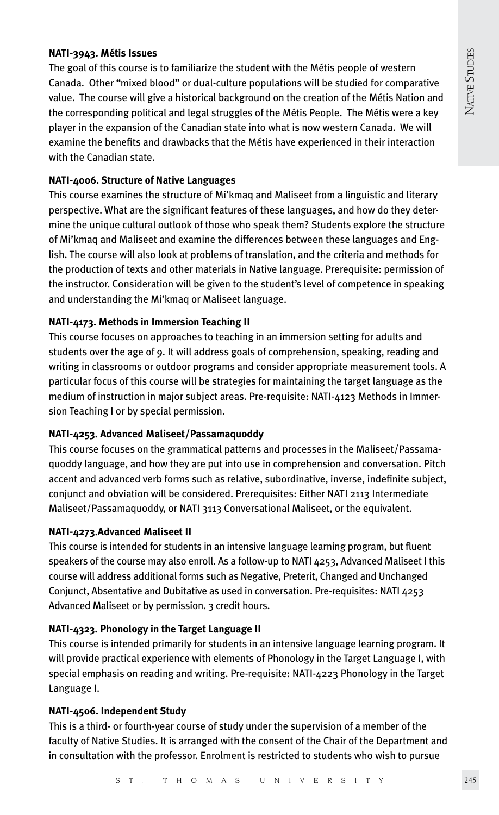# **NATI-3943. Métis Issues**

The goal of this course is to familiarize the student with the Métis people of western Canada. Other "mixed blood" or dual-culture populations will be studied for comparative value. The course will give a historical background on the creation of the Métis Nation and the corresponding political and legal struggles of the Métis People. The Métis were a key player in the expansion of the Canadian state into what is now western Canada. We will examine the benefits and drawbacks that the Métis have experienced in their interaction with the Canadian state.

# **NATI-4006. Structure of Native Languages**

This course examines the structure of Mi'kmaq and Maliseet from a linguistic and literary perspective. What are the significant features of these languages, and how do they determine the unique cultural outlook of those who speak them? Students explore the structure of Mi'kmaq and Maliseet and examine the differences between these languages and English. The course will also look at problems of translation, and the criteria and methods for the production of texts and other materials in Native language. Prerequisite: permission of the instructor. Consideration will be given to the student's level of competence in speaking and understanding the Mi'kmaq or Maliseet language.

# **NATI-4173. Methods in Immersion Teaching II**

This course focuses on approaches to teaching in an immersion setting for adults and students over the age of 9. It will address goals of comprehension, speaking, reading and writing in classrooms or outdoor programs and consider appropriate measurement tools. A particular focus of this course will be strategies for maintaining the target language as the medium of instruction in major subject areas. Pre-requisite: NATI-4123 Methods in Immersion Teaching I or by special permission.

# **NATI-4253. Advanced Maliseet/Passamaquoddy**

This course focuses on the grammatical patterns and processes in the Maliseet/Passamaquoddy language, and how they are put into use in comprehension and conversation. Pitch accent and advanced verb forms such as relative, subordinative, inverse, indefinite subject, conjunct and obviation will be considered. Prerequisites: Either NATI 2113 Intermediate Maliseet/Passamaquoddy, or NATI 3113 Conversational Maliseet, or the equivalent.

# **NATI-4273.Advanced Maliseet II**

This course is intended for students in an intensive language learning program, but fluent speakers of the course may also enroll. As a follow-up to NATI 4253, Advanced Maliseet I this course will address additional forms such as Negative, Preterit, Changed and Unchanged Conjunct, Absentative and Dubitative as used in conversation. Pre-requisites: NATI 4253 Advanced Maliseet or by permission. 3 credit hours.

# **NATI-4323. Phonology in the Target Language II**

This course is intended primarily for students in an intensive language learning program. It will provide practical experience with elements of Phonology in the Target Language I, with special emphasis on reading and writing. Pre-requisite: NATI-4223 Phonology in the Target Language I.

# **NATI-4506. Independent Study**

This is a third- or fourth-year course of study under the supervision of a member of the faculty of Native Studies. It is arranged with the consent of the Chair of the Department and in consultation with the professor. Enrolment is restricted to students who wish to pursue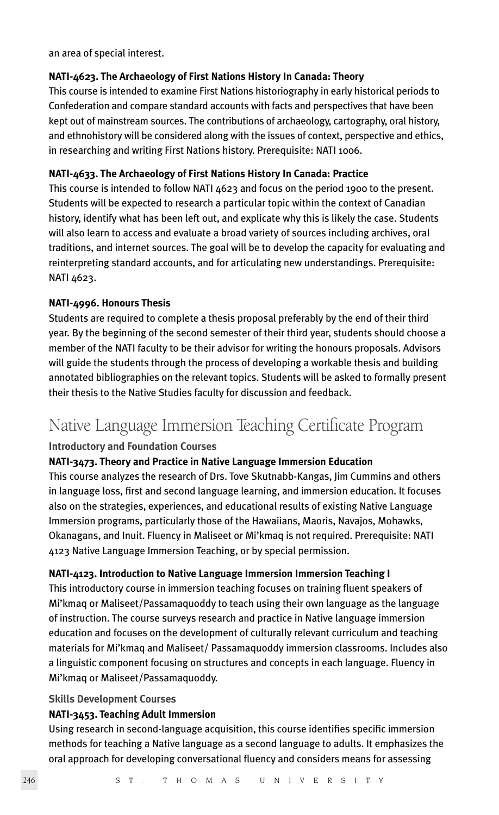an area of special interest.

# **NATI-4623. The Archaeology of First Nations History In Canada: Theory**

This course is intended to examine First Nations historiography in early historical periods to Confederation and compare standard accounts with facts and perspectives that have been kept out of mainstream sources. The contributions of archaeology, cartography, oral history, and ethnohistory will be considered along with the issues of context, perspective and ethics, in researching and writing First Nations history. Prerequisite: NATI 1006.

# **NATI-4633. The Archaeology of First Nations History In Canada: Practice**

This course is intended to follow NATI 4623 and focus on the period 1900 to the present. Students will be expected to research a particular topic within the context of Canadian history, identify what has been left out, and explicate why this is likely the case. Students will also learn to access and evaluate a broad variety of sources including archives, oral traditions, and internet sources. The goal will be to develop the capacity for evaluating and reinterpreting standard accounts, and for articulating new understandings. Prerequisite: NATI 4623.

# **NATI-4996. Honours Thesis**

Students are required to complete a thesis proposal preferably by the end of their third year. By the beginning of the second semester of their third year, students should choose a member of the NATI faculty to be their advisor for writing the honours proposals. Advisors will guide the students through the process of developing a workable thesis and building annotated bibliographies on the relevant topics. Students will be asked to formally present their thesis to the Native Studies faculty for discussion and feedback.

# Native Language Immersion Teaching Certificate Program

# **Introductory and Foundation Courses**

# **NATI-3473. Theory and Practice in Native Language Immersion Education**

This course analyzes the research of Drs. Tove Skutnabb-Kangas, Jim Cummins and others in language loss, first and second language learning, and immersion education. It focuses also on the strategies, experiences, and educational results of existing Native Language Immersion programs, particularly those of the Hawaiians, Maoris, Navajos, Mohawks, Okanagans, and Inuit. Fluency in Maliseet or Mi'kmaq is not required. Prerequisite: NATI 4123 Native Language Immersion Teaching, or by special permission.

#### **NATI-4123. Introduction to Native Language Immersion Immersion Teaching I**

This introductory course in immersion teaching focuses on training fluent speakers of Mi'kmaq or Maliseet/Passamaquoddy to teach using their own language as the language of instruction. The course surveys research and practice in Native language immersion education and focuses on the development of culturally relevant curriculum and teaching materials for Mi'kmaq and Maliseet/ Passamaquoddy immersion classrooms. Includes also a linguistic component focusing on structures and concepts in each language. Fluency in Mi'kmaq or Maliseet/Passamaquoddy.

#### **Skills Development Courses**

#### **NATI-3453. Teaching Adult Immersion**

Using research in second-language acquisition, this course identifies specific immersion methods for teaching a Native language as a second language to adults. It emphasizes the oral approach for developing conversational fluency and considers means for assessing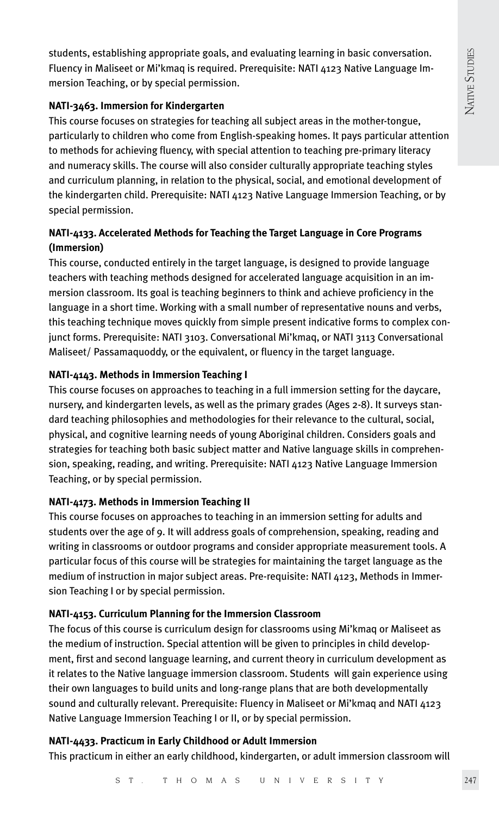students, establishing appropriate goals, and evaluating learning in basic conversation. Fluency in Maliseet or Mi'kmaq is required. Prerequisite: NATI 4123 Native Language Immersion Teaching, or by special permission.

# **NATI-3463. Immersion for Kindergarten**

This course focuses on strategies for teaching all subject areas in the mother-tongue, particularly to children who come from English-speaking homes. It pays particular attention to methods for achieving fluency, with special attention to teaching pre-primary literacy and numeracy skills. The course will also consider culturally appropriate teaching styles and curriculum planning, in relation to the physical, social, and emotional development of the kindergarten child. Prerequisite: NATI 4123 Native Language Immersion Teaching, or by special permission.

# **NATI-4133. Accelerated Methods for Teaching the Target Language in Core Programs (Immersion)**

This course, conducted entirely in the target language, is designed to provide language teachers with teaching methods designed for accelerated language acquisition in an immersion classroom. Its goal is teaching beginners to think and achieve proficiency in the language in a short time. Working with a small number of representative nouns and verbs, this teaching technique moves quickly from simple present indicative forms to complex conjunct forms. Prerequisite: NATI 3103. Conversational Mi'kmaq, or NATI 3113 Conversational Maliseet/ Passamaquoddy, or the equivalent, or fluency in the target language.

# **NATI-4143. Methods in Immersion Teaching I**

This course focuses on approaches to teaching in a full immersion setting for the daycare, nursery, and kindergarten levels, as well as the primary grades (Ages 2-8). It surveys standard teaching philosophies and methodologies for their relevance to the cultural, social, physical, and cognitive learning needs of young Aboriginal children. Considers goals and strategies for teaching both basic subject matter and Native language skills in comprehension, speaking, reading, and writing. Prerequisite: NATI 4123 Native Language Immersion Teaching, or by special permission.

# **NATI-4173. Methods in Immersion Teaching II**

This course focuses on approaches to teaching in an immersion setting for adults and students over the age of 9. It will address goals of comprehension, speaking, reading and writing in classrooms or outdoor programs and consider appropriate measurement tools. A particular focus of this course will be strategies for maintaining the target language as the medium of instruction in major subject areas. Pre-requisite: NATI 4123, Methods in Immersion Teaching I or by special permission.

# **NATI-4153. Curriculum Planning for the Immersion Classroom**

The focus of this course is curriculum design for classrooms using Mi'kmaq or Maliseet as the medium of instruction. Special attention will be given to principles in child development, first and second language learning, and current theory in curriculum development as it relates to the Native language immersion classroom. Students will gain experience using their own languages to build units and long-range plans that are both developmentally sound and culturally relevant. Prerequisite: Fluency in Maliseet or Mi'kmaq and NATI 4123 Native Language Immersion Teaching I or II, or by special permission.

# **NATI-4433. Practicum in Early Childhood or Adult Immersion**

This practicum in either an early childhood, kindergarten, or adult immersion classroom will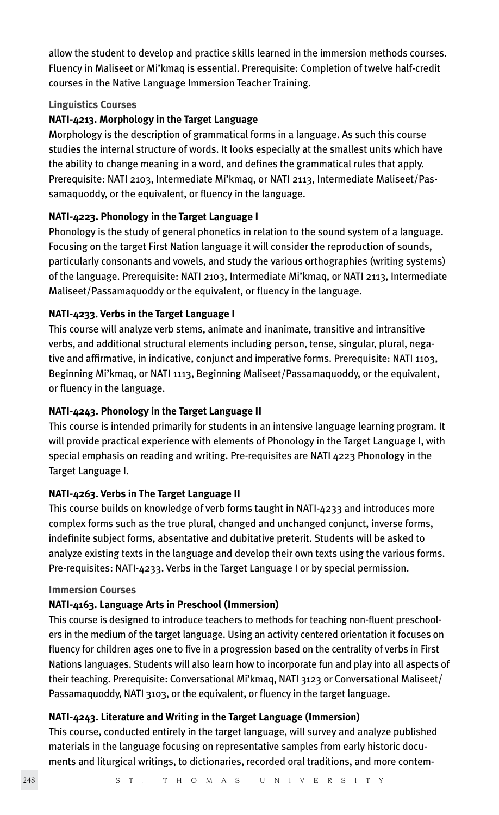allow the student to develop and practice skills learned in the immersion methods courses. Fluency in Maliseet or Mi'kmaq is essential. Prerequisite: Completion of twelve half-credit courses in the Native Language Immersion Teacher Training.

# **Linguistics Courses**

# **NATI-4213. Morphology in the Target Language**

Morphology is the description of grammatical forms in a language. As such this course studies the internal structure of words. It looks especially at the smallest units which have the ability to change meaning in a word, and defines the grammatical rules that apply. Prerequisite: NATI 2103, Intermediate Mi'kmaq, or NATI 2113, Intermediate Maliseet/Passamaquoddy, or the equivalent, or fluency in the language.

# **NATI-4223. Phonology in the Target Language I**

Phonology is the study of general phonetics in relation to the sound system of a language. Focusing on the target First Nation language it will consider the reproduction of sounds, particularly consonants and vowels, and study the various orthographies (writing systems) of the language. Prerequisite: NATI 2103, Intermediate Mi'kmaq, or NATI 2113, Intermediate Maliseet/Passamaquoddy or the equivalent, or fluency in the language.

# **NATI-4233. Verbs in the Target Language I**

This course will analyze verb stems, animate and inanimate, transitive and intransitive verbs, and additional structural elements including person, tense, singular, plural, negative and affirmative, in indicative, conjunct and imperative forms. Prerequisite: NATI 1103, Beginning Mi'kmaq, or NATI 1113, Beginning Maliseet/Passamaquoddy, or the equivalent, or fluency in the language.

# **NATI-4243. Phonology in the Target Language II**

This course is intended primarily for students in an intensive language learning program. It will provide practical experience with elements of Phonology in the Target Language I, with special emphasis on reading and writing. Pre-requisites are NATI 4223 Phonology in the Target Language I.

# **NATI-4263. Verbs in The Target Language II**

This course builds on knowledge of verb forms taught in NATI-4233 and introduces more complex forms such as the true plural, changed and unchanged conjunct, inverse forms, indefinite subject forms, absentative and dubitative preterit. Students will be asked to analyze existing texts in the language and develop their own texts using the various forms. Pre-requisites: NATI-4233. Verbs in the Target Language I or by special permission.

# **Immersion Courses**

# **NATI-4163. Language Arts in Preschool (Immersion)**

This course is designed to introduce teachers to methods for teaching non-fluent preschoolers in the medium of the target language. Using an activity centered orientation it focuses on fluency for children ages one to five in a progression based on the centrality of verbs in First Nations languages. Students will also learn how to incorporate fun and play into all aspects of their teaching. Prerequisite: Conversational Mi'kmaq, NATI 3123 or Conversational Maliseet/ Passamaquoddy, NATI 3103, or the equivalent, or fluency in the target language.

# **NATI-4243. Literature and Writing in the Target Language (Immersion)**

This course, conducted entirely in the target language, will survey and analyze published materials in the language focusing on representative samples from early historic documents and liturgical writings, to dictionaries, recorded oral traditions, and more contem